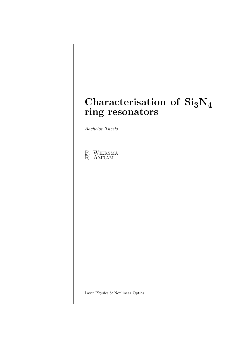# **Characterisation of Si3N<sup>4</sup> ring resonators**

*Bachelor Thesis*

P. Wiersma R. AMRAM

Laser Physics & Nonlinear Optics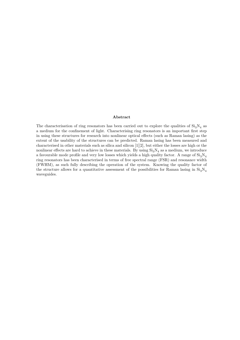#### **Abstract**

The characterisation of ring resonators has been carried out to explore the qualities of  $Si<sub>3</sub>N<sub>4</sub>$  as a medium for the confinement of light. Characterising ring resonators is an important first step in using these structures for research into nonlinear optical effects (such as Raman lasing) as the extent of the usability of the structures can be predicted. Raman lasing has been measured and characterised in other materials such as silica and silicon [\[1\]](#page-16-0)[\[2\]](#page-16-1), but either the losses are high or the nonlinear effects are hard to achieve in these materials. By using  $Si<sub>3</sub>N<sub>4</sub>$  as a medium, we introduce a favourable mode profile and very low losses which yields a high quality factor. A range of  $Si<sub>3</sub>N<sub>4</sub>$ ring resonators has been characterised in terms of free spectral range (FSR) and resonance width (FWHM), as such fully describing the operation of the system. Knowing the quality factor of the structure allows for a quantitative assessment of the possibilities for Raman lasing in  $Si_3N_4$ waveguides.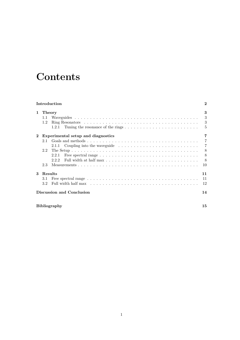# **Contents**

|              |         | Introduction                                                                                                     | $\bf{2}$                  |
|--------------|---------|------------------------------------------------------------------------------------------------------------------|---------------------------|
| $\mathbf{1}$ | Theory  |                                                                                                                  | 3                         |
|              | 1.1     |                                                                                                                  | 3                         |
|              | 1.2     |                                                                                                                  | $\overline{\phantom{a}3}$ |
|              |         | 1.2.1                                                                                                            | $-5$                      |
| $\mathbf 2$  |         | Experimental setup and diagnostics                                                                               | 7                         |
|              | 2.1     |                                                                                                                  | $\overline{7}$            |
|              |         |                                                                                                                  |                           |
|              | 2.2     |                                                                                                                  | 8                         |
|              |         | 2.2.1                                                                                                            | - 8                       |
|              |         | 2.2.2                                                                                                            | - 8                       |
|              | 2.3     |                                                                                                                  | 10                        |
| 3            | Results |                                                                                                                  | 11                        |
|              | 3.1     | Free spectral range $\ldots \ldots \ldots \ldots \ldots \ldots \ldots \ldots \ldots \ldots \ldots \ldots$        | 11                        |
|              | 32      | Full width half max $\ldots \ldots \ldots \ldots \ldots \ldots \ldots \ldots \ldots \ldots \ldots \ldots \ldots$ | 12                        |
|              |         | Discussion and Conclusion                                                                                        | 14                        |

### **[Bibliography](#page-15-0) 15**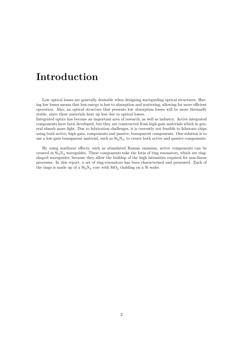# <span id="page-3-0"></span>**Introduction**

Low optical losses are generally desirable when designing waveguiding optical structures. Having low losses means that less energy is lost to absorption and scattering, allowing for more efficient operation. Also, an optical structure that presents low absorption losses will be more thermally stable, since these materials heat up less due to optical losses.

Integrated optics has become an important area of research, as well as industry. Active integrated components have been developed, but they are constructed from high-gain materials which in general absorb more light. Due to fabrication challenges, it is currently not feasible to fabricate chips using both active, high-gain, components and passive, transparent components. One solution is to use a low-gain transparent material, such as  $Si<sub>3</sub>N<sub>4</sub>$ , to create both active and passive components.

By using nonlinear effects, such as stimulated Raman emission, active components can be created in  $Si<sub>3</sub>N<sub>4</sub>$  waveguides. These components take the form of ring resonators, which are ringshaped waveguides, because they allow the buildup of the high intensities required for non-linear processes. In this report, a set of ring-resonators has been characterised and presented. Each of the rings is made up of a  $\text{Si}_3\text{N}_4$  core with  $\text{SiO}_2$  cladding on a Si wafer.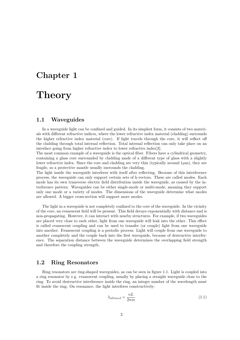## <span id="page-4-0"></span>**Chapter 1**

# **Theory**

### <span id="page-4-1"></span>**1.1 Waveguides**

In a waveguide light can be confined and guided. In its simplest form, it consists of two materials with different refractive indices, where the lower refractive index material (cladding) surrounds the higher refractive index material (core). If light travels through the core, it will reflect off the cladding through total internal reflection. Total internal reflection can only take place on an interface going from higher refractive index to lower refractive index[\[3\]](#page-16-2).

The most common example of a waveguide is the optical fiber. Fibers have a cylindrical geometry, containing a glass core surrounded by cladding made of a different type of glass with a slightly lower refractive index. Since the core and cladding are very thin (typically around  $1\mu$ m), they are fragile, so a protective mantle usually surrounds the cladding.

The light inside the waveguide interferes with itself after reflecting. Because of this interference process, the waveguide can only support certain sets of k-vectors. These are called modes. Each mode has its own transverse electric field distribution inside the waveguide, as caused by the interference pattern. Waveguides can be either single-mode or multi-mode, meaning they support only one mode or a variety of modes. The dimensions of the waveguide determine what modes are allowed. A bigger cross-section will support more modes.

The light in a waveguide is not completely confined to the core of the waveguide. In the vicinity of the core, an evanescent field will be present. This field decays exponentially with distance and is non-propagating. However, it can interact with nearby structures. For example, if two waveguides are placed very close to each other, light from one waveguide will leak into the other. This effect is called evanescent coupling and can be used to transfer (or couple) light from one waveguide into another. Evanescent coupling is a periodic process. Light will couple from one waveguide to another completely and the couple back into the first waveguide, because of destructive interference. The separation distance between the waveguide determines the overlapping field strength and therefore the coupling strength.

### <span id="page-4-2"></span>**1.2 Ring Resonators**

Ring resonators are ring-shaped waveguides, as can be seen in figure [1.1.](#page-5-0) Light is coupled into a ring resonator by e.g. evanescent coupling, usually by placing a straight waveguide close to the ring. To avoid destructive interference inside the ring, an integer number of the wavelength must fit inside the ring. On resonance, the light interferes constructively:

<span id="page-4-3"></span>
$$
\lambda_{allowed} = \frac{nL}{2\pi m} \tag{1.1}
$$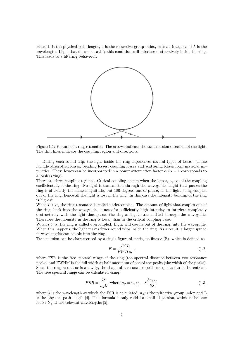where L is the physical path length, n is the refractive group index, m is an integer and  $\lambda$  is the wavelength. Light that does not satisfy this condition will interfere destructively inside the ring. This leads to a filtering behaviour.



<span id="page-5-0"></span>Figure 1.1: Picture of a ring resonator. The arrows indicate the transmission direction of the light. The thin lines indicate the coupling region and directions.

During each round trip, the light inside the ring experiences several types of losses. These include absorption losses, bending losses, coupling losses and scattering losses from material impurities. These losses can be incorporated in a power attenuation factor  $\alpha$  ( $\alpha = 1$  corresponds to a lossless ring).

There are three coupling regimes. Critical coupling occurs when the losses,  $\alpha$ , equal the coupling coefficient, *t*, of the ring. No light is transmitted through the waveguide. Light that passes the ring is of exactly the same magnitude, but 180 degrees out of phase, as the light being coupled out of the ring, hence all the light is lost in the ring. In this case the intensity buildup of the ring is highest.

When  $t < \alpha$ , the ring resonator is called undercoupled. The amount of light that couples out of the ring, back into the waveguide, is not of a sufficiently high intensity to interfere completely destructively with the light that passes the ring and gets transmitted through the waveguide. Therefore the intensity in the ring is lower than in the critical coupling case.

When  $t > \alpha$ , the ring is called overcoupled. Light will couple out of the ring, into the waveguide. When this happens, the light makes fewer round trips inside the ring. As a result, a larger spread in wavelengths can couple into the ring.

Transmission can be characterised by a single figure of merit, its finesse (F), which is defined as

<span id="page-5-1"></span>
$$
F = \frac{FSR}{FWHM},\tag{1.2}
$$

where FSR is the free spectral range of the ring (the spectral distance between two resonance peaks) and FWHM is the full width at half maximum of one of the peaks (the width of the peaks). Since the ring resonator is a cavity, the shape of a resonance peak is expected to be Lorentzian. The free spectral range can be calculated using:

<span id="page-5-2"></span>
$$
FSR = \frac{\lambda^2}{n_g L}, \text{ where } n_g = n_{eff} - \lambda \frac{\partial n_{eff}}{\partial \lambda} \tag{1.3}
$$

where  $\lambda$  is the wavelength at which the FSR is calculated,  $n_q$  is the refractive group index and L is the physical path length [\[4\]](#page-16-3). This formula is only valid for small dispersion, which is the case for  $Si<sub>3</sub>N<sub>4</sub>$  at the relevant wavelengths [\[5\]](#page-16-4).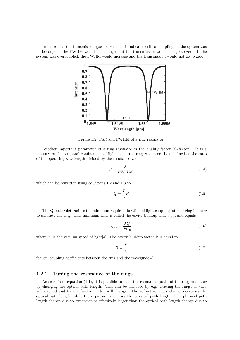In figure [1.2,](#page-6-1) the transmission goes to zero. This indicates critical coupling. If the system was undercoupled, the FWHM would not change, but the transmission would not go to zero. If the system was overcoupled, the FWHM would increase and the transmission would not go to zero.



<span id="page-6-1"></span>Figure 1.2: FSR and FWHM of a ring resonator.

Another important parameter of a ring resonator is the quality factor (Q-factor). It is a measure of the temporal confinement of light inside the ring resonator. It is defined as the ratio of the operating wavelength divided by the resonance width

$$
Q = \frac{\lambda}{FWHM},\tag{1.4}
$$

which can be rewritten using equations [1.2](#page-5-1) and [1.3](#page-5-2) to

$$
Q = \frac{L}{\lambda}F,\tag{1.5}
$$

The Q-factor determines the minimum required duration of light coupling into the ring in order to saturate the ring. This minimum time is called the cavity buildup time  $\tau_{cav}$ , and equals

$$
\tau_{cav} = \frac{\lambda Q}{2\pi c_0},\tag{1.6}
$$

where  $c_0$  is the vacuum speed of light [\[4\]](#page-16-3). The cavity buildup factor B is equal to

<span id="page-6-2"></span>
$$
B = \frac{F}{\pi} \tag{1.7}
$$

for low coupling coefficients between the ring and the waveguide[\[4\]](#page-16-3).

#### <span id="page-6-0"></span>**1.2.1 Tuning the resonance of the rings**

As seen from equation [\(1.1\)](#page-4-3), it is possible to tune the resonance peaks of the ring resonator by changing the optical path length. This can be achieved by e.g. heating the rings, as they will expand and their refractive index will change. The refractive index change decreases the optical path length, while the expansion increases the physical path length. The physical path length change due to expansion is effectively larger than the optical path length change due to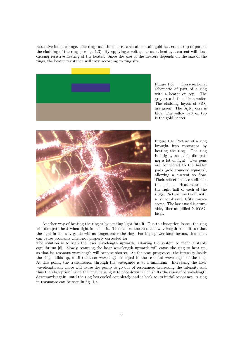refractive index change. The rings used in this research all contain gold heaters on top of part of the cladding of the ring (see fig. [1.3\)](#page-7-0). By applying a voltage across a heater, a current will flow, causing resistive heating of the heater. Since the size of the heaters depends on the size of the rings, the heater resistance will vary according to ring size.



Figure 1.3: Cross-sectional schematic of part of a ring with a heater on top. The grey area is the silicon wafer. The cladding layers of  $SiO<sub>3</sub>$ are green. The  $Si<sub>3</sub>N<sub>4</sub>$  core is blue. The yellow part on top is the gold heater.



<span id="page-7-1"></span><span id="page-7-0"></span>Figure 1.4: Picture of a ring brought into resonance by heating the ring. The ring is bright, as it is dissipating a lot of light. Two pens are connected to the heater pads (gold rounded squares), allowing a current to flow. Their reflections are visible in the silicon. Heaters are on the right half of each of the rings. Picture was taken with a silicon-based USB microscope. The laser used is a tunable, fiber amplified Nd:YAG laser.

Another way of heating the ring is by sending light into it. Due to absorption losses, the ring will dissipate heat when light is inside it. This causes the resonant wavelength to shift, so that the light in the waveguide will no longer enter the ring. For high power laser beams, this effect can cause problems when not properly corrected for.

The solution is to scan the laser wavelength upwards, allowing the system to reach a stable equilibrium [\[6\]](#page-16-5). Slowly scanning the laser wavelength upwards will cause the ring to heat up, so that its resonant wavelength will become shorter. As the scan progresses, the intensity inside the ring builds up, until the laser wavelength is equal to the resonant wavelength of the ring. At this point, the transmission through the waveguide is at a minimum. Increasing the laser wavelength any more will cause the pump to go out of resonance, decreasing the intensity and thus the absorption inside the ring, causing it to cool down which shifts the resonance wavelength downwards again, until the ring has cooled completely and is back to its initial resonance. A ring in resonance can be seen in fig. [1.4.](#page-7-1)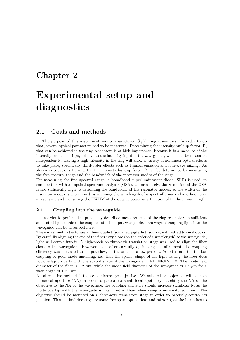## <span id="page-8-0"></span>**Chapter 2**

# **Experimental setup and diagnostics**

### <span id="page-8-1"></span>**2.1 Goals and methods**

The purpose of this assignment was to characterise  $Si<sub>3</sub>N<sub>4</sub>$  ring resonators. In order to do that, several optical parameters had to be measured. Determining the intensity buildup factor, B, that can be achieved in the ring resonators is of high importance, because it is a measure of the intensity inside the rings, relative to the intensity input of the waveguides, which can be measured independently. Having a high intensity in the ring will allow a variety of nonlinear optical effects to take place, specifically third-order effects such as Raman emission and four-wave mixing. As shown in equations [1.7](#page-6-2) and [1.2,](#page-5-1) the intensity buildup factor B can be determined by measuring the free spectral range and the bandwidth of the resonator modes of the rings.

For measuring the free spectral range, a broadband superluminescent diode (SLD) is used, in combination with an optical spectrum analyser (OSA). Unfortunately, the resolution of the OSA is not sufficiently high to determing the bandwidth of the resonator modes, so the width of the resonator modes is determined by scanning the wavelength of a spectrally narrowband laser over a resonance and measuring the FWHM of the output power as a function of the laser wavelength.

#### <span id="page-8-2"></span>**2.1.1 Coupling into the waveguide**

In order to perform the previously described measurements of the ring resonators, a sufficient amount of light needs to be coupled into the input waveguide. Two ways of coupling light into the waveguide will be described here.

The easiest method is to use a fiber-coupled (so-called pigtailed) source, without additional optics. By carefully aligning the end of the fiber very close (on the order of a wavelength) to the waveguide, light will couple into it. A high-precision three-axis translation stage was used to align the fiber close to the waveguide. However, even after carefully optimizing the alignment, the coupling efficiency was measured to be quite low, on the order of a few percent. We attribute the the low coupling to poor mode matching, i.e. that the spatial shape of the light exiting the fiber does not overlap properly with the spatial shape of the waveguide. !!!REFERENCE!!! The mode field diameter of the fiber is 7.2  $\mu$ m, while the mode field diameter of the waveguide is 1.5  $\mu$ m for a wavelength of 1050 nm.

An alternative method is to use a microscope objective. We selected an objective with a high numerical aperture (NA) in order to generate a small focal spot. By matching the NA of the objective to the NA of the waveguide, the coupling efficiency should increase significantly, as the mode overlap with the waveguide is much better than when using a non-matched fiber. The objective should be mounted on a three-axis translation stage in order to precisely control its position. This method does require some free-space optics (lens and mirrors), as the beam has to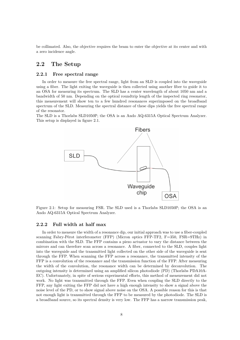be collimated. Also, the objective requires the beam to enter the objective at its center and with a zero incidence angle.

### <span id="page-9-0"></span>**2.2 The Setup**

#### <span id="page-9-1"></span>**2.2.1 Free spectral range**

In order to measure the free spectral range, light from an SLD is coupled into the waveguide using a fiber. The light exiting the waveguide is then collected using another fiber to guide it to an OSA for measuring its spectrum. The SLD has a center wavelength of about 1050 nm and a bandwidth of 50 nm. Depending on the optical roundtrip length of the inspected ring resonator, this measurement will show ten to a few hundred resonances superimposed on the broadband spectrum of the SLD. Measuring the spectral distance of these dips yields the free spectral range of the resonator.

The SLD is a Thorlabs SLD1050P; the OSA is an Ando AQ-6315A Optical Spectrum Analyzer. This setup is displayed in figure [2.1.](#page-9-3)



<span id="page-9-3"></span>Figure 2.1: Setup for measuring FSR. The SLD used is a Thorlabs SLD1050P; the OSA is an Ando AQ-6315A Optical Spectrum Analyzer.

#### <span id="page-9-2"></span>**2.2.2 Full width at half max**

In order to measure the width of a resonance dip, our initial approach was to use a fiber-coupled scanning Fabry-Pérot interferometer (FFP) (Micron optics FFP-TF2, F=350, FSR=9THz) in combination with the SLD. The FFP contains a piezo actuator to vary the distance between the mirrors and can therefore scan across a resonance. A fiber, connected to the SLD, couples light into the waveguide and the transmitted light collected on the other side of the waveguide is sent through the FFP. When scanning the FFP across a resonance, the transmitted intensity of the FFP is a convolution of the resonance and the transmission function of the FFP. After measuring the width of the convolution, the resonance width can be determined by deconvolution. The outgoing intensity is determined using an amplified silicon photodiode (PD) (Thorlabs PDA10A-EC). Unfortunately, in spite of serious experimental efforts, this method of measurement did not work. No light was transmitted through the FFP. Even when coupling the SLD directly to the FFP, any light exiting the FFP did not have a high enough intensity to show a signal above the noise level of the PD, or to show signal above noise on the OSA. A possible reason for this is that not enough light is transmitted through the FFP to be measured by the photodiode. The SLD is a broadband source, so its spectral density is very low. The FFP has a narrow transmission peak,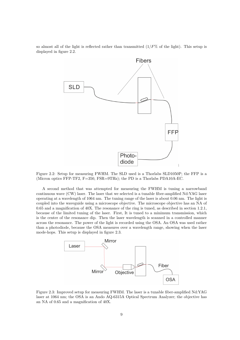so almost all of the light is reflected rather than transmitted  $(1/F\%$  of the light). This setup is displayed in figure [2.2.](#page-10-0)



<span id="page-10-0"></span>Figure 2.2: Setup for measuring FWHM. The SLD used is a Thorlabs SLD1050P; the FFP is a (Micron optics FFP-TF2, F=350, FSR=9THz); the PD is a Thorlabs PDA10A-EC.

A second method that was attempted for measuring the FWHM is tuning a narrowband continuous wave (CW) laser. The laser that we selected is a tunable fiber-amplified Nd:YAG laser operating at a wavelength of 1064 nm. The tuning range of the laser is about 0.06 nm. The light is coupled into the waveguide using a microscope objective. The microscope objective has an NA of 0.65 and a magnification of 40X. The resonance of the ring is tuned, as described in section [1.2.1,](#page-6-0) because of the limited tuning of the laser. First, It is tuned to a minimum transmission, which is the center of the resonance dip. Then the laser wavelength is scanned in a controlled manner across the resonance. The power of the light is recorded using the OSA. An OSA was used rather than a photodiode, because the OSA measures over a wavelength range, showing when the laser mode-hops. This setup is displayed in figure [2.3.](#page-10-1)



<span id="page-10-1"></span>Figure 2.3: Improved setup for measuring FWHM. The laser is a tunable fiber-amplified Nd:YAG laser at 1064 nm; the OSA is an Ando AQ-6315A Optical Spectrum Analyzer; the objective has an NA of 0.65 and a magnification of 40X.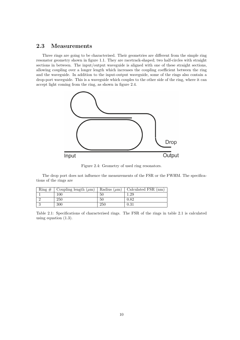### <span id="page-11-0"></span>**2.3 Measurements**

Three rings are going to be characterised. Their geometries are different from the simple ring resonator geometry shown in figure [1.1.](#page-5-0) They are racetrack-shaped; two half-circles with straight sections in between. The input/output waveguide is aligned with one of these straight sections, allowing coupling over a longer length which increases the coupling coefficient between the ring and the waveguide. In addition to the input-output waveguide, some of the rings also contain a drop-port waveguide. This is a waveguide which couples to the other side of the ring, where it can accept light coming from the ring, as shown in figure [2.4.](#page-11-1)



<span id="page-11-1"></span>Figure 2.4: Geometry of used ring resonators.

The drop port does not influence the measurements of the FSR or the FWHM. The specifications of the rings are

| $\lim_{x \to \infty}$ | Coupling length $(\mu m)$ | Radius $(\mu m)$ | Calculated FSR (nm) |
|-----------------------|---------------------------|------------------|---------------------|
|                       | 100                       | 50               | 1.29                |
|                       | 250                       | 50               | 0.82                |
|                       | 300                       | 250              | 0.31                |

<span id="page-11-2"></span>Table 2.1: Specifications of characterised rings. The FSR of the rings in table [2.1](#page-11-2) is calculated using equation [\(1.3\)](#page-5-2).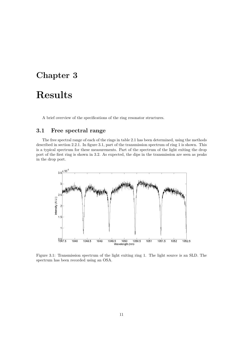## <span id="page-12-0"></span>**Chapter 3**

# **Results**

A brief overview of the specifications of the ring resonator structures.

### <span id="page-12-1"></span>**3.1 Free spectral range**

The free spectral range of each of the rings in table [2.1](#page-11-2) has been determined, using the methods described in section [2.2.1.](#page-9-1) In figure [3.1,](#page-12-2) part of the transmission spectrum of ring 1 is shown. This is a typical spectrum for these measurements. Part of the spectrum of the light exiting the drop port of the first ring is shown in [3.2.](#page-13-1) As expected, the dips in the transmission are seen as peaks in the drop port.



<span id="page-12-2"></span>Figure 3.1: Transmission spectrum of the light exiting ring 1. The light source is an SLD. The spectrum has been recorded using an OSA.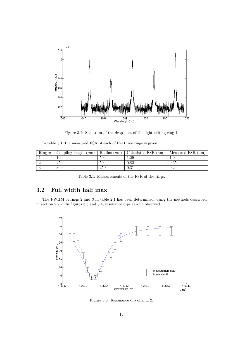

<span id="page-13-1"></span>Figure 3.2: Spectrum of the drop port of the light exiting ring 1.

In table [3.1,](#page-13-2) the measured FSR of each of the three rings is given.

| $\mathrm{Ring}\,\,\#$ | Coupling length $(\mu m)$ | Radius $(\mu m)$ | Calculated FSR (nm) | Measured FSR (nm) |
|-----------------------|---------------------------|------------------|---------------------|-------------------|
|                       | 100                       | 50               | 1.29                | 1.04              |
|                       | 250                       | 50               | 0.82                | 0.65              |
|                       | 300                       | 250              | 0.31                | 0.24              |

<span id="page-13-2"></span>Table 3.1: Measurements of the FSR of the rings.

### <span id="page-13-0"></span>**3.2 Full width half max**

The FWHM of rings 2 and 3 in table [2.1](#page-11-2) has been determined, using the methods described in section [2.2.2.](#page-9-2) In figures [3.3](#page-13-3) and [3.4,](#page-14-0) resonance dips can be observed.



<span id="page-13-3"></span>Figure 3.3: Resonance dip of ring 2.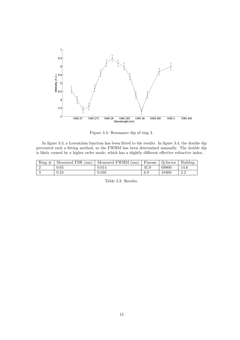

<span id="page-14-0"></span>Figure 3.4: Resonance dip of ring 3.

In figure [3.3,](#page-13-3) a Lorentzian function has been fitted to the results. In figure [3.4,](#page-14-0) the double dip prevented such a fitting method, so the FWHM has been determined manually. The double dip is likely caused by a higher order mode, which has a slightly different effective refractive index.

| Ring<br># | Measured FSR $(nm)$ | Measured FWHM<br>(nm) | Finesse | Q-factor | Buildup   |
|-----------|---------------------|-----------------------|---------|----------|-----------|
|           | $0.65\,$            | 0.014                 | 45.9    | 69800    | 14.6      |
|           | $\rm 0.24$          | 0.035                 | 6.9     | 10400    | ററ<br>∠.∠ |

Table 3.2: Results.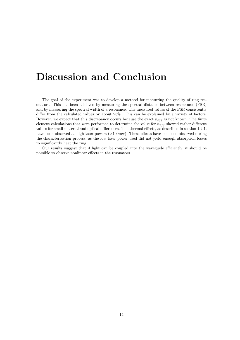# <span id="page-15-0"></span>**Discussion and Conclusion**

The goal of the experiment was to develop a method for measuring the quality of ring resonators. This has been achieved by measuring the spectral distance between resonances (FSR) and by measuring the spectral width of a resonance. The measured values of the FSR consistently differ from the calculated values by about 25%. This can be explained by a variety of factors. However, we expect that this discrepancy occurs because the exact  $n_{eff}$  is not known. The finite element calculations that were performed to determine the value for  $n_{eff}$  showed rather different values for small material and optical differences. The thermal effects, as described in section [1.2.1,](#page-6-0) have been observed at high laser powers (*>*100mw). These effects have not been observed during the characterisation process, as the low laser power used did not yield enough absorption losses to significantly heat the ring.

Our results suggest that if light can be coupled into the waveguide efficiently, it should be possible to observe nonlinear effects in the resonators.